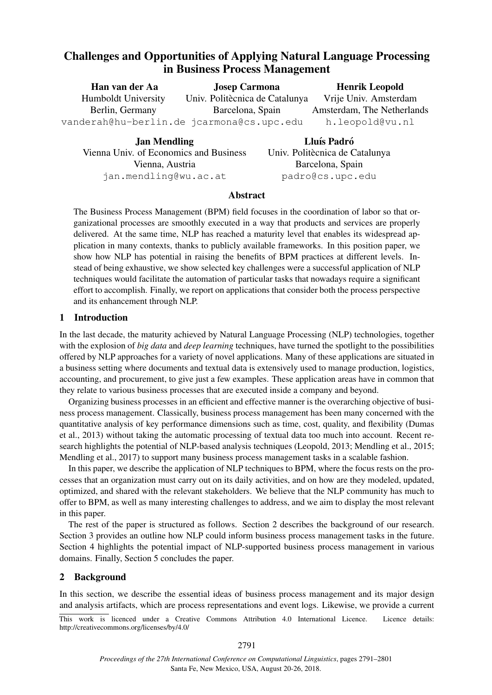# Challenges and Opportunities of Applying Natural Language Processing in Business Process Management

| Han van der Aa                            | <b>Josep Carmona</b>           | <b>Henrik Leopold</b>      |  |
|-------------------------------------------|--------------------------------|----------------------------|--|
| Humboldt University                       | Univ. Politècnica de Catalunya | Vrije Univ. Amsterdam      |  |
| Berlin, Germany                           | Barcelona, Spain               | Amsterdam, The Netherlands |  |
| vanderah@hu-berlin.de jcarmona@cs.upc.edu |                                | h.leopold@vu.nl            |  |
|                                           |                                |                            |  |

| <b>Jan Mendling</b>                    |        |
|----------------------------------------|--------|
| Vienna Univ. of Economics and Business | $U$ ni |
| Vienna, Austria                        |        |
| jan.mendling@wu.ac.at                  |        |

Lluís Padró iv. Politècnica de Catalunya Barcelona, Spain padro@cs.upc.edu

### Abstract

The Business Process Management (BPM) field focuses in the coordination of labor so that organizational processes are smoothly executed in a way that products and services are properly delivered. At the same time, NLP has reached a maturity level that enables its widespread application in many contexts, thanks to publicly available frameworks. In this position paper, we show how NLP has potential in raising the benefits of BPM practices at different levels. Instead of being exhaustive, we show selected key challenges were a successful application of NLP techniques would facilitate the automation of particular tasks that nowadays require a significant effort to accomplish. Finally, we report on applications that consider both the process perspective and its enhancement through NLP.

# 1 Introduction

In the last decade, the maturity achieved by Natural Language Processing (NLP) technologies, together with the explosion of *big data* and *deep learning* techniques, have turned the spotlight to the possibilities offered by NLP approaches for a variety of novel applications. Many of these applications are situated in a business setting where documents and textual data is extensively used to manage production, logistics, accounting, and procurement, to give just a few examples. These application areas have in common that they relate to various business processes that are executed inside a company and beyond.

Organizing business processes in an efficient and effective manner is the overarching objective of business process management. Classically, business process management has been many concerned with the quantitative analysis of key performance dimensions such as time, cost, quality, and flexibility (Dumas et al., 2013) without taking the automatic processing of textual data too much into account. Recent research highlights the potential of NLP-based analysis techniques (Leopold, 2013; Mendling et al., 2015; Mendling et al., 2017) to support many business process management tasks in a scalable fashion.

In this paper, we describe the application of NLP techniques to BPM, where the focus rests on the processes that an organization must carry out on its daily activities, and on how are they modeled, updated, optimized, and shared with the relevant stakeholders. We believe that the NLP community has much to offer to BPM, as well as many interesting challenges to address, and we aim to display the most relevant in this paper.

The rest of the paper is structured as follows. Section 2 describes the background of our research. Section 3 provides an outline how NLP could inform business process management tasks in the future. Section 4 highlights the potential impact of NLP-supported business process management in various domains. Finally, Section 5 concludes the paper.

# 2 Background

In this section, we describe the essential ideas of business process management and its major design and analysis artifacts, which are process representations and event logs. Likewise, we provide a current

This work is licenced under a Creative Commons Attribution 4.0 International Licence. Licence details: http://creativecommons.org/licenses/by/4.0/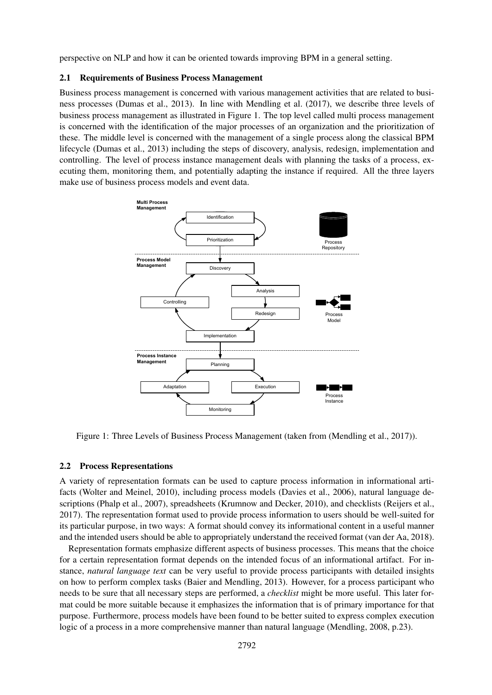perspective on NLP and how it can be oriented towards improving BPM in a general setting.

#### 2.1 Requirements of Business Process Management

Business process management is concerned with various management activities that are related to business processes (Dumas et al., 2013). In line with Mendling et al. (2017), we describe three levels of business process management as illustrated in Figure 1. The top level called multi process management is concerned with the identification of the major processes of an organization and the prioritization of these. The middle level is concerned with the management of a single process along the classical BPM lifecycle (Dumas et al., 2013) including the steps of discovery, analysis, redesign, implementation and controlling. The level of process instance management deals with planning the tasks of a process, executing them, monitoring them, and potentially adapting the instance if required. All the three layers make use of business process models and event data.



Figure 1: Three Levels of Business Process Management (taken from (Mendling et al., 2017)).

### 2.2 Process Representations

A variety of representation formats can be used to capture process information in informational artifacts (Wolter and Meinel, 2010), including process models (Davies et al., 2006), natural language descriptions (Phalp et al., 2007), spreadsheets (Krumnow and Decker, 2010), and checklists (Reijers et al., 2017). The representation format used to provide process information to users should be well-suited for its particular purpose, in two ways: A format should convey its informational content in a useful manner and the intended users should be able to appropriately understand the received format (van der Aa, 2018).

Representation formats emphasize different aspects of business processes. This means that the choice for a certain representation format depends on the intended focus of an informational artifact. For instance, *natural language text* can be very useful to provide process participants with detailed insights on how to perform complex tasks (Baier and Mendling, 2013). However, for a process participant who needs to be sure that all necessary steps are performed, a *checklist* might be more useful. This later format could be more suitable because it emphasizes the information that is of primary importance for that purpose. Furthermore, process models have been found to be better suited to express complex execution logic of a process in a more comprehensive manner than natural language (Mendling, 2008, p.23).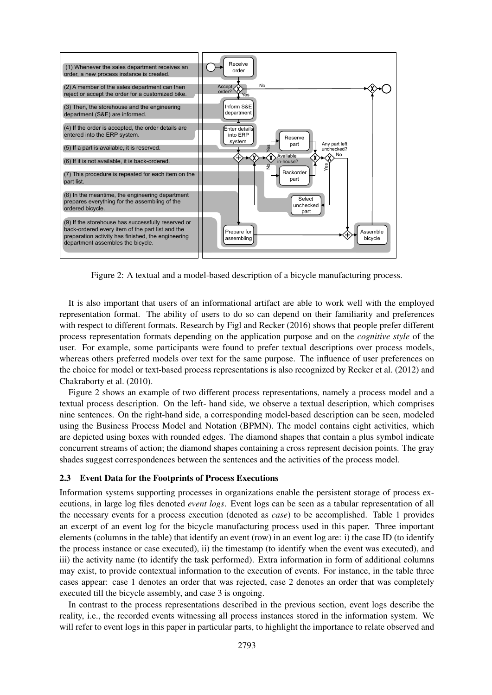

Figure 2: A textual and a model-based description of a bicycle manufacturing process.

It is also important that users of an informational artifact are able to work well with the employed representation format. The ability of users to do so can depend on their familiarity and preferences with respect to different formats. Research by Figl and Recker (2016) shows that people prefer different process representation formats depending on the application purpose and on the *cognitive style* of the user. For example, some participants were found to prefer textual descriptions over process models, whereas others preferred models over text for the same purpose. The influence of user preferences on the choice for model or text-based process representations is also recognized by Recker et al. (2012) and Chakraborty et al. (2010).

Figure 2 shows an example of two different process representations, namely a process model and a textual process description. On the left- hand side, we observe a textual description, which comprises nine sentences. On the right-hand side, a corresponding model-based description can be seen, modeled using the Business Process Model and Notation (BPMN). The model contains eight activities, which are depicted using boxes with rounded edges. The diamond shapes that contain a plus symbol indicate concurrent streams of action; the diamond shapes containing a cross represent decision points. The gray shades suggest correspondences between the sentences and the activities of the process model.

#### 2.3 Event Data for the Footprints of Process Executions

Information systems supporting processes in organizations enable the persistent storage of process executions, in large log files denoted *event logs*. Event logs can be seen as a tabular representation of all the necessary events for a process execution (denoted as *case*) to be accomplished. Table 1 provides an excerpt of an event log for the bicycle manufacturing process used in this paper. Three important elements (columns in the table) that identify an event (row) in an event log are: i) the case ID (to identify the process instance or case executed), ii) the timestamp (to identify when the event was executed), and iii) the activity name (to identify the task performed). Extra information in form of additional columns may exist, to provide contextual information to the execution of events. For instance, in the table three cases appear: case 1 denotes an order that was rejected, case 2 denotes an order that was completely executed till the bicycle assembly, and case 3 is ongoing.

In contrast to the process representations described in the previous section, event logs describe the reality, i.e., the recorded events witnessing all process instances stored in the information system. We will refer to event logs in this paper in particular parts, to highlight the importance to relate observed and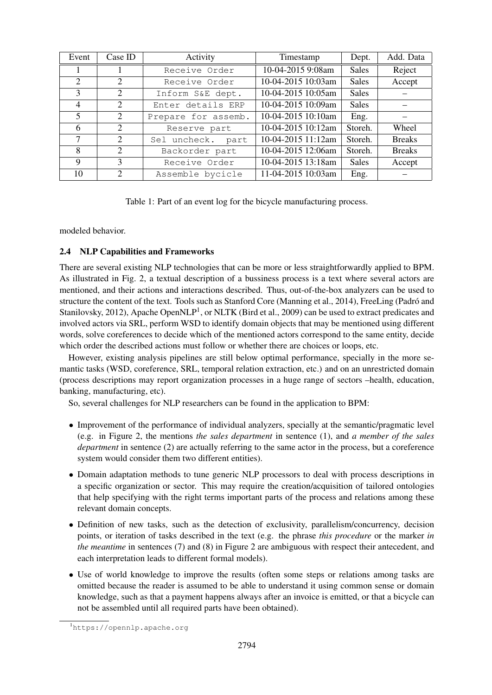| Event          | Case ID               | Activity            | Timestamp          | Dept.        | Add. Data     |
|----------------|-----------------------|---------------------|--------------------|--------------|---------------|
|                |                       | Receive Order       | 10-04-2015 9:08am  | <b>Sales</b> | Reject        |
| 2              | 2                     | Receive Order       | 10-04-2015 10:03am | <b>Sales</b> | Accept        |
| 3              | 2                     | Inform S&E dept.    | 10-04-2015 10:05am | <b>Sales</b> |               |
| $\overline{4}$ | 2                     | Enter details ERP   | 10-04-2015 10:09am | <b>Sales</b> |               |
| 5              | 2                     | Prepare for assemb. | 10-04-2015 10:10am | Eng.         |               |
| 6              | 2                     | Reserve part        | 10-04-2015 10:12am | Storeh.      | Wheel         |
| 7              | 2                     | Sel uncheck. part   | 10-04-2015 11:12am | Storeh.      | <b>Breaks</b> |
| 8              | 2                     | Backorder part      | 10-04-2015 12:06am | Storeh.      | <b>Breaks</b> |
| 9              | 3                     | Receive Order       | 10-04-2015 13:18am | <b>Sales</b> | Accept        |
| 10             | $\mathcal{D}_{\cdot}$ | Assemble bycicle    | 11-04-2015 10:03am | Eng.         |               |

Table 1: Part of an event log for the bicycle manufacturing process.

modeled behavior.

# 2.4 NLP Capabilities and Frameworks

There are several existing NLP technologies that can be more or less straightforwardly applied to BPM. As illustrated in Fig. 2, a textual description of a bussiness process is a text where several actors are mentioned, and their actions and interactions described. Thus, out-of-the-box analyzers can be used to structure the content of the text. Tools such as Stanford Core (Manning et al., 2014), FreeLing (Padró and Stanilovsky, 2012), Apache OpenNLP<sup>1</sup>, or NLTK (Bird et al., 2009) can be used to extract predicates and involved actors via SRL, perform WSD to identify domain objects that may be mentioned using different words, solve coreferences to decide which of the mentioned actors correspond to the same entity, decide which order the described actions must follow or whether there are choices or loops, etc.

However, existing analysis pipelines are still below optimal performance, specially in the more semantic tasks (WSD, coreference, SRL, temporal relation extraction, etc.) and on an unrestricted domain (process descriptions may report organization processes in a huge range of sectors –health, education, banking, manufacturing, etc).

So, several challenges for NLP researchers can be found in the application to BPM:

- Improvement of the performance of individual analyzers, specially at the semantic/pragmatic level (e.g. in Figure 2, the mentions *the sales department* in sentence (1), and *a member of the sales department* in sentence (2) are actually referring to the same actor in the process, but a coreference system would consider them two different entities).
- Domain adaptation methods to tune generic NLP processors to deal with process descriptions in a specific organization or sector. This may require the creation/acquisition of tailored ontologies that help specifying with the right terms important parts of the process and relations among these relevant domain concepts.
- Definition of new tasks, such as the detection of exclusivity, parallelism/concurrency, decision points, or iteration of tasks described in the text (e.g. the phrase *this procedure* or the marker *in the meantime* in sentences (7) and (8) in Figure 2 are ambiguous with respect their antecedent, and each interpretation leads to different formal models).
- Use of world knowledge to improve the results (often some steps or relations among tasks are omitted because the reader is assumed to be able to understand it using common sense or domain knowledge, such as that a payment happens always after an invoice is emitted, or that a bicycle can not be assembled until all required parts have been obtained).

<sup>1</sup>https://opennlp.apache.org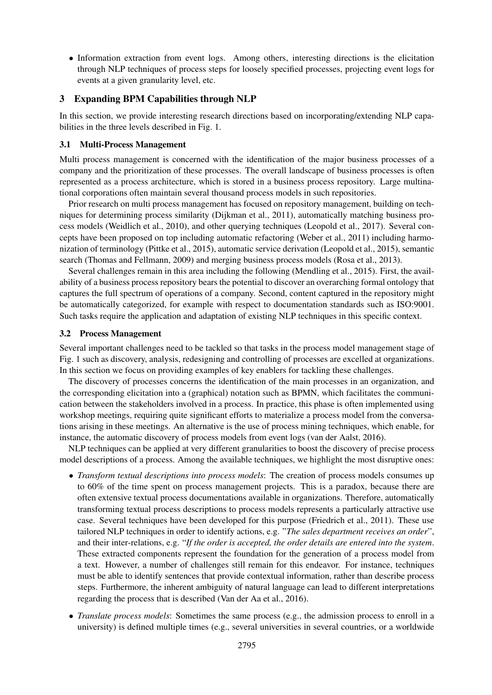• Information extraction from event logs. Among others, interesting directions is the elicitation through NLP techniques of process steps for loosely specified processes, projecting event logs for events at a given granularity level, etc.

### 3 Expanding BPM Capabilities through NLP

In this section, we provide interesting research directions based on incorporating/extending NLP capabilities in the three levels described in Fig. 1.

#### 3.1 Multi-Process Management

Multi process management is concerned with the identification of the major business processes of a company and the prioritization of these processes. The overall landscape of business processes is often represented as a process architecture, which is stored in a business process repository. Large multinational corporations often maintain several thousand process models in such repositories.

Prior research on multi process management has focused on repository management, building on techniques for determining process similarity (Dijkman et al., 2011), automatically matching business process models (Weidlich et al., 2010), and other querying techniques (Leopold et al., 2017). Several concepts have been proposed on top including automatic refactoring (Weber et al., 2011) including harmonization of terminology (Pittke et al., 2015), automatic service derivation (Leopold et al., 2015), semantic search (Thomas and Fellmann, 2009) and merging business process models (Rosa et al., 2013).

Several challenges remain in this area including the following (Mendling et al., 2015). First, the availability of a business process repository bears the potential to discover an overarching formal ontology that captures the full spectrum of operations of a company. Second, content captured in the repository might be automatically categorized, for example with respect to documentation standards such as ISO:9001. Such tasks require the application and adaptation of existing NLP techniques in this specific context.

#### 3.2 Process Management

Several important challenges need to be tackled so that tasks in the process model management stage of Fig. 1 such as discovery, analysis, redesigning and controlling of processes are excelled at organizations. In this section we focus on providing examples of key enablers for tackling these challenges.

The discovery of processes concerns the identification of the main processes in an organization, and the corresponding elicitation into a (graphical) notation such as BPMN, which facilitates the communication between the stakeholders involved in a process. In practice, this phase is often implemented using workshop meetings, requiring quite significant efforts to materialize a process model from the conversations arising in these meetings. An alternative is the use of process mining techniques, which enable, for instance, the automatic discovery of process models from event logs (van der Aalst, 2016).

NLP techniques can be applied at very different granularities to boost the discovery of precise process model descriptions of a process. Among the available techniques, we highlight the most disruptive ones:

- *Transform textual descriptions into process models*: The creation of process models consumes up to 60% of the time spent on process management projects. This is a paradox, because there are often extensive textual process documentations available in organizations. Therefore, automatically transforming textual process descriptions to process models represents a particularly attractive use case. Several techniques have been developed for this purpose (Friedrich et al., 2011). These use tailored NLP techniques in order to identify actions, e.g. "*The sales department receives an order*", and their inter-relations, e.g. "*If the order is accepted, the order details are entered into the system*. These extracted components represent the foundation for the generation of a process model from a text. However, a number of challenges still remain for this endeavor. For instance, techniques must be able to identify sentences that provide contextual information, rather than describe process steps. Furthermore, the inherent ambiguity of natural language can lead to different interpretations regarding the process that is described (Van der Aa et al., 2016).
- *Translate process models*: Sometimes the same process (e.g., the admission process to enroll in a university) is defined multiple times (e.g., several universities in several countries, or a worldwide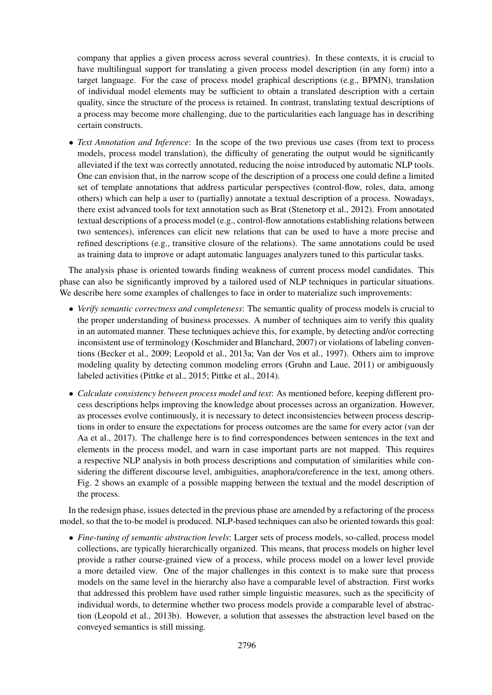company that applies a given process across several countries). In these contexts, it is crucial to have multilingual support for translating a given process model description (in any form) into a target language. For the case of process model graphical descriptions (e.g., BPMN), translation of individual model elements may be sufficient to obtain a translated description with a certain quality, since the structure of the process is retained. In contrast, translating textual descriptions of a process may become more challenging, due to the particularities each language has in describing certain constructs.

• *Text Annotation and Inference*: In the scope of the two previous use cases (from text to process models, process model translation), the difficulty of generating the output would be significantly alleviated if the text was correctly annotated, reducing the noise introduced by automatic NLP tools. One can envision that, in the narrow scope of the description of a process one could define a limited set of template annotations that address particular perspectives (control-flow, roles, data, among others) which can help a user to (partially) annotate a textual description of a process. Nowadays, there exist advanced tools for text annotation such as Brat (Stenetorp et al., 2012). From annotated textual descriptions of a process model (e.g., control-flow annotations establishing relations between two sentences), inferences can elicit new relations that can be used to have a more precise and refined descriptions (e.g., transitive closure of the relations). The same annotations could be used as training data to improve or adapt automatic languages analyzers tuned to this particular tasks.

The analysis phase is oriented towards finding weakness of current process model candidates. This phase can also be significantly improved by a tailored used of NLP techniques in particular situations. We describe here some examples of challenges to face in order to materialize such improvements:

- *Verify semantic correctness and completeness*: The semantic quality of process models is crucial to the proper understanding of business processes. A number of techniques aim to verify this quality in an automated manner. These techniques achieve this, for example, by detecting and/or correcting inconsistent use of terminology (Koschmider and Blanchard, 2007) or violations of labeling conventions (Becker et al., 2009; Leopold et al., 2013a; Van der Vos et al., 1997). Others aim to improve modeling quality by detecting common modeling errors (Gruhn and Laue, 2011) or ambiguously labeled activities (Pittke et al., 2015; Pittke et al., 2014).
- *Calculate consistency between process model and text*: As mentioned before, keeping different process descriptions helps improving the knowledge about processes across an organization. However, as processes evolve continuously, it is necessary to detect inconsistencies between process descriptions in order to ensure the expectations for process outcomes are the same for every actor (van der Aa et al., 2017). The challenge here is to find correspondences between sentences in the text and elements in the process model, and warn in case important parts are not mapped. This requires a respective NLP analysis in both process descriptions and computation of similarities while considering the different discourse level, ambiguities, anaphora/coreference in the text, among others. Fig. 2 shows an example of a possible mapping between the textual and the model description of the process.

In the redesign phase, issues detected in the previous phase are amended by a refactoring of the process model, so that the to-be model is produced. NLP-based techniques can also be oriented towards this goal:

• *Fine-tuning of semantic abstraction levels*: Larger sets of process models, so-called, process model collections, are typically hierarchically organized. This means, that process models on higher level provide a rather course-grained view of a process, while process model on a lower level provide a more detailed view. One of the major challenges in this context is to make sure that process models on the same level in the hierarchy also have a comparable level of abstraction. First works that addressed this problem have used rather simple linguistic measures, such as the specificity of individual words, to determine whether two process models provide a comparable level of abstraction (Leopold et al., 2013b). However, a solution that assesses the abstraction level based on the conveyed semantics is still missing.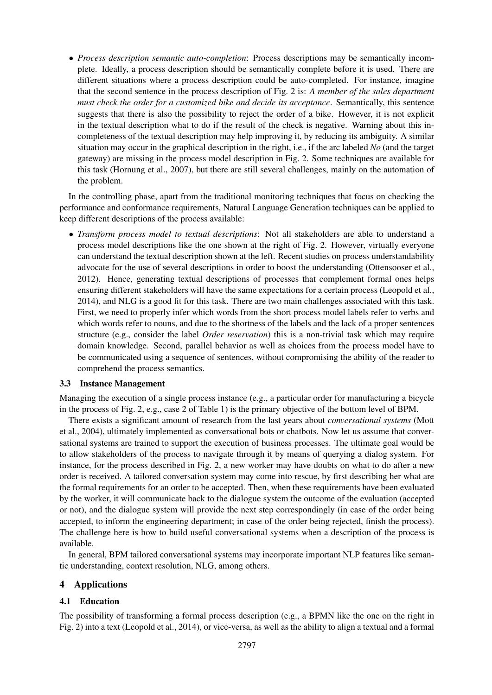• *Process description semantic auto-completion*: Process descriptions may be semantically incomplete. Ideally, a process description should be semantically complete before it is used. There are different situations where a process description could be auto-completed. For instance, imagine that the second sentence in the process description of Fig. 2 is: *A member of the sales department must check the order for a customized bike and decide its acceptance*. Semantically, this sentence suggests that there is also the possibility to reject the order of a bike. However, it is not explicit in the textual description what to do if the result of the check is negative. Warning about this incompleteness of the textual description may help improving it, by reducing its ambiguity. A similar situation may occur in the graphical description in the right, i.e., if the arc labeled *No* (and the target gateway) are missing in the process model description in Fig. 2. Some techniques are available for this task (Hornung et al., 2007), but there are still several challenges, mainly on the automation of the problem.

In the controlling phase, apart from the traditional monitoring techniques that focus on checking the performance and conformance requirements, Natural Language Generation techniques can be applied to keep different descriptions of the process available:

• *Transform process model to textual descriptions*: Not all stakeholders are able to understand a process model descriptions like the one shown at the right of Fig. 2. However, virtually everyone can understand the textual description shown at the left. Recent studies on process understandability advocate for the use of several descriptions in order to boost the understanding (Ottensooser et al., 2012). Hence, generating textual descriptions of processes that complement formal ones helps ensuring different stakeholders will have the same expectations for a certain process (Leopold et al., 2014), and NLG is a good fit for this task. There are two main challenges associated with this task. First, we need to properly infer which words from the short process model labels refer to verbs and which words refer to nouns, and due to the shortness of the labels and the lack of a proper sentences structure (e.g., consider the label *Order reservation*) this is a non-trivial task which may require domain knowledge. Second, parallel behavior as well as choices from the process model have to be communicated using a sequence of sentences, without compromising the ability of the reader to comprehend the process semantics.

#### 3.3 Instance Management

Managing the execution of a single process instance (e.g., a particular order for manufacturing a bicycle in the process of Fig. 2, e.g., case 2 of Table 1) is the primary objective of the bottom level of BPM.

There exists a significant amount of research from the last years about *conversational systems* (Mott et al., 2004), ultimately implemented as conversational bots or chatbots. Now let us assume that conversational systems are trained to support the execution of business processes. The ultimate goal would be to allow stakeholders of the process to navigate through it by means of querying a dialog system. For instance, for the process described in Fig. 2, a new worker may have doubts on what to do after a new order is received. A tailored conversation system may come into rescue, by first describing her what are the formal requirements for an order to be accepted. Then, when these requirements have been evaluated by the worker, it will communicate back to the dialogue system the outcome of the evaluation (accepted or not), and the dialogue system will provide the next step correspondingly (in case of the order being accepted, to inform the engineering department; in case of the order being rejected, finish the process). The challenge here is how to build useful conversational systems when a description of the process is available.

In general, BPM tailored conversational systems may incorporate important NLP features like semantic understanding, context resolution, NLG, among others.

### 4 Applications

### 4.1 Education

The possibility of transforming a formal process description (e.g., a BPMN like the one on the right in Fig. 2) into a text (Leopold et al., 2014), or vice-versa, as well as the ability to align a textual and a formal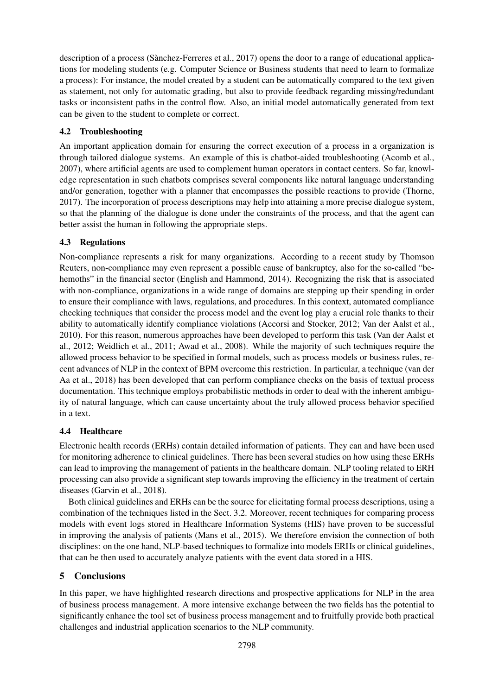description of a process (Sànchez-Ferreres et al., 2017) opens the door to a range of educational applications for modeling students (e.g. Computer Science or Business students that need to learn to formalize a process): For instance, the model created by a student can be automatically compared to the text given as statement, not only for automatic grading, but also to provide feedback regarding missing/redundant tasks or inconsistent paths in the control flow. Also, an initial model automatically generated from text can be given to the student to complete or correct.

# 4.2 Troubleshooting

An important application domain for ensuring the correct execution of a process in a organization is through tailored dialogue systems. An example of this is chatbot-aided troubleshooting (Acomb et al., 2007), where artificial agents are used to complement human operators in contact centers. So far, knowledge representation in such chatbots comprises several components like natural language understanding and/or generation, together with a planner that encompasses the possible reactions to provide (Thorne, 2017). The incorporation of process descriptions may help into attaining a more precise dialogue system, so that the planning of the dialogue is done under the constraints of the process, and that the agent can better assist the human in following the appropriate steps.

# 4.3 Regulations

Non-compliance represents a risk for many organizations. According to a recent study by Thomson Reuters, non-compliance may even represent a possible cause of bankruptcy, also for the so-called "behemoths" in the financial sector (English and Hammond, 2014). Recognizing the risk that is associated with non-compliance, organizations in a wide range of domains are stepping up their spending in order to ensure their compliance with laws, regulations, and procedures. In this context, automated compliance checking techniques that consider the process model and the event log play a crucial role thanks to their ability to automatically identify compliance violations (Accorsi and Stocker, 2012; Van der Aalst et al., 2010). For this reason, numerous approaches have been developed to perform this task (Van der Aalst et al., 2012; Weidlich et al., 2011; Awad et al., 2008). While the majority of such techniques require the allowed process behavior to be specified in formal models, such as process models or business rules, recent advances of NLP in the context of BPM overcome this restriction. In particular, a technique (van der Aa et al., 2018) has been developed that can perform compliance checks on the basis of textual process documentation. This technique employs probabilistic methods in order to deal with the inherent ambiguity of natural language, which can cause uncertainty about the truly allowed process behavior specified in a text.

# 4.4 Healthcare

Electronic health records (ERHs) contain detailed information of patients. They can and have been used for monitoring adherence to clinical guidelines. There has been several studies on how using these ERHs can lead to improving the management of patients in the healthcare domain. NLP tooling related to ERH processing can also provide a significant step towards improving the efficiency in the treatment of certain diseases (Garvin et al., 2018).

Both clinical guidelines and ERHs can be the source for elicitating formal process descriptions, using a combination of the techniques listed in the Sect. 3.2. Moreover, recent techniques for comparing process models with event logs stored in Healthcare Information Systems (HIS) have proven to be successful in improving the analysis of patients (Mans et al., 2015). We therefore envision the connection of both disciplines: on the one hand, NLP-based techniques to formalize into models ERHs or clinical guidelines, that can be then used to accurately analyze patients with the event data stored in a HIS.

# 5 Conclusions

In this paper, we have highlighted research directions and prospective applications for NLP in the area of business process management. A more intensive exchange between the two fields has the potential to significantly enhance the tool set of business process management and to fruitfully provide both practical challenges and industrial application scenarios to the NLP community.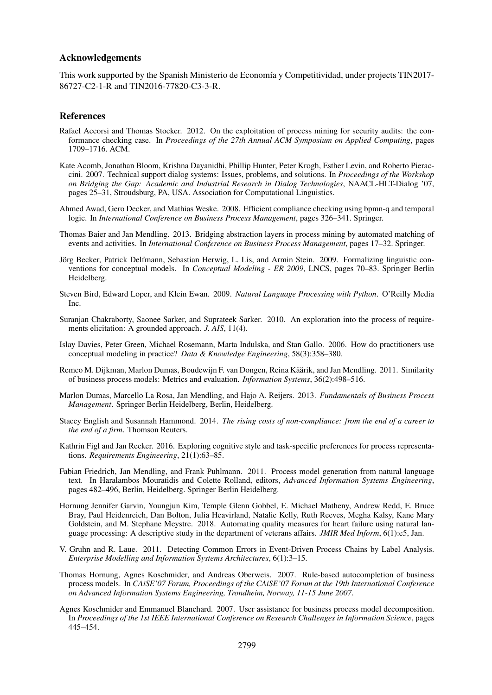#### Acknowledgements

This work supported by the Spanish Ministerio de Economía y Competitividad, under projects TIN2017-86727-C2-1-R and TIN2016-77820-C3-3-R.

#### References

- Rafael Accorsi and Thomas Stocker. 2012. On the exploitation of process mining for security audits: the conformance checking case. In *Proceedings of the 27th Annual ACM Symposium on Applied Computing*, pages 1709–1716. ACM.
- Kate Acomb, Jonathan Bloom, Krishna Dayanidhi, Phillip Hunter, Peter Krogh, Esther Levin, and Roberto Pieraccini. 2007. Technical support dialog systems: Issues, problems, and solutions. In *Proceedings of the Workshop on Bridging the Gap: Academic and Industrial Research in Dialog Technologies*, NAACL-HLT-Dialog '07, pages 25–31, Stroudsburg, PA, USA. Association for Computational Linguistics.
- Ahmed Awad, Gero Decker, and Mathias Weske. 2008. Efficient compliance checking using bpmn-q and temporal logic. In *International Conference on Business Process Management*, pages 326–341. Springer.
- Thomas Baier and Jan Mendling. 2013. Bridging abstraction layers in process mining by automated matching of events and activities. In *International Conference on Business Process Management*, pages 17–32. Springer.
- Jörg Becker, Patrick Delfmann, Sebastian Herwig, L. Lis, and Armin Stein. 2009. Formalizing linguistic conventions for conceptual models. In *Conceptual Modeling - ER 2009*, LNCS, pages 70–83. Springer Berlin Heidelberg.
- Steven Bird, Edward Loper, and Klein Ewan. 2009. *Natural Language Processing with Python*. O'Reilly Media Inc.
- Suranjan Chakraborty, Saonee Sarker, and Suprateek Sarker. 2010. An exploration into the process of requirements elicitation: A grounded approach. *J. AIS*, 11(4).
- Islay Davies, Peter Green, Michael Rosemann, Marta Indulska, and Stan Gallo. 2006. How do practitioners use conceptual modeling in practice? *Data & Knowledge Engineering*, 58(3):358–380.
- Remco M. Dijkman, Marlon Dumas, Boudewijn F. van Dongen, Reina Käärik, and Jan Mendling. 2011. Similarity of business process models: Metrics and evaluation. *Information Systems*, 36(2):498–516.
- Marlon Dumas, Marcello La Rosa, Jan Mendling, and Hajo A. Reijers. 2013. *Fundamentals of Business Process Management*. Springer Berlin Heidelberg, Berlin, Heidelberg.
- Stacey English and Susannah Hammond. 2014. *The rising costs of non-compliance: from the end of a career to the end of a firm*. Thomson Reuters.
- Kathrin Figl and Jan Recker. 2016. Exploring cognitive style and task-specific preferences for process representations. *Requirements Engineering*, 21(1):63–85.
- Fabian Friedrich, Jan Mendling, and Frank Puhlmann. 2011. Process model generation from natural language text. In Haralambos Mouratidis and Colette Rolland, editors, *Advanced Information Systems Engineering*, pages 482–496, Berlin, Heidelberg. Springer Berlin Heidelberg.
- Hornung Jennifer Garvin, Youngjun Kim, Temple Glenn Gobbel, E. Michael Matheny, Andrew Redd, E. Bruce Bray, Paul Heidenreich, Dan Bolton, Julia Heavirland, Natalie Kelly, Ruth Reeves, Megha Kalsy, Kane Mary Goldstein, and M. Stephane Meystre. 2018. Automating quality measures for heart failure using natural language processing: A descriptive study in the department of veterans affairs. *JMIR Med Inform*, 6(1):e5, Jan.
- V. Gruhn and R. Laue. 2011. Detecting Common Errors in Event-Driven Process Chains by Label Analysis. *Enterprise Modelling and Information Systems Architectures*, 6(1):3–15.
- Thomas Hornung, Agnes Koschmider, and Andreas Oberweis. 2007. Rule-based autocompletion of business process models. In *CAiSE'07 Forum, Proceedings of the CAiSE'07 Forum at the 19th International Conference on Advanced Information Systems Engineering, Trondheim, Norway, 11-15 June 2007*.
- Agnes Koschmider and Emmanuel Blanchard. 2007. User assistance for business process model decomposition. In *Proceedings of the 1st IEEE International Conference on Research Challenges in Information Science*, pages 445–454.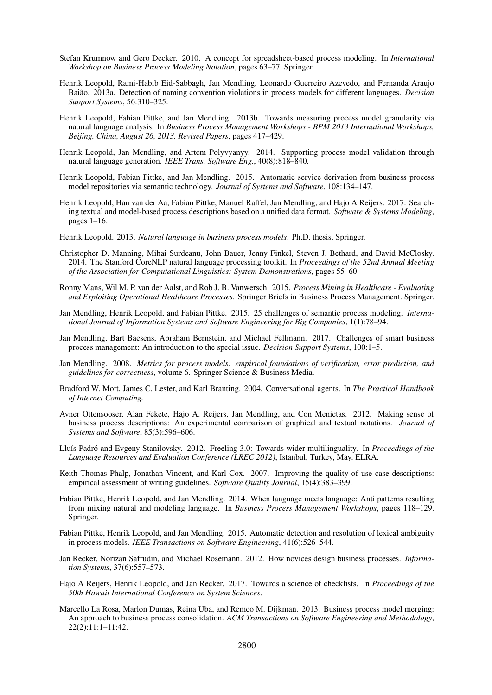- Stefan Krumnow and Gero Decker. 2010. A concept for spreadsheet-based process modeling. In *International Workshop on Business Process Modeling Notation*, pages 63–77. Springer.
- Henrik Leopold, Rami-Habib Eid-Sabbagh, Jan Mendling, Leonardo Guerreiro Azevedo, and Fernanda Araujo Baiao. 2013a. Detection of naming convention violations in process models for different languages. ˜ *Decision Support Systems*, 56:310–325.
- Henrik Leopold, Fabian Pittke, and Jan Mendling. 2013b. Towards measuring process model granularity via natural language analysis. In *Business Process Management Workshops - BPM 2013 International Workshops, Beijing, China, August 26, 2013, Revised Papers*, pages 417–429.
- Henrik Leopold, Jan Mendling, and Artem Polyvyanyy. 2014. Supporting process model validation through natural language generation. *IEEE Trans. Software Eng.*, 40(8):818–840.
- Henrik Leopold, Fabian Pittke, and Jan Mendling. 2015. Automatic service derivation from business process model repositories via semantic technology. *Journal of Systems and Software*, 108:134–147.
- Henrik Leopold, Han van der Aa, Fabian Pittke, Manuel Raffel, Jan Mendling, and Hajo A Reijers. 2017. Searching textual and model-based process descriptions based on a unified data format. *Software & Systems Modeling*, pages 1–16.
- Henrik Leopold. 2013. *Natural language in business process models*. Ph.D. thesis, Springer.
- Christopher D. Manning, Mihai Surdeanu, John Bauer, Jenny Finkel, Steven J. Bethard, and David McClosky. 2014. The Stanford CoreNLP natural language processing toolkit. In *Proceedings of the 52nd Annual Meeting of the Association for Computational Linguistics: System Demonstrations*, pages 55–60.
- Ronny Mans, Wil M. P. van der Aalst, and Rob J. B. Vanwersch. 2015. *Process Mining in Healthcare Evaluating and Exploiting Operational Healthcare Processes*. Springer Briefs in Business Process Management. Springer.
- Jan Mendling, Henrik Leopold, and Fabian Pittke. 2015. 25 challenges of semantic process modeling. *International Journal of Information Systems and Software Engineering for Big Companies*, 1(1):78–94.
- Jan Mendling, Bart Baesens, Abraham Bernstein, and Michael Fellmann. 2017. Challenges of smart business process management: An introduction to the special issue. *Decision Support Systems*, 100:1–5.
- Jan Mendling. 2008. *Metrics for process models: empirical foundations of verification, error prediction, and guidelines for correctness*, volume 6. Springer Science & Business Media.
- Bradford W. Mott, James C. Lester, and Karl Branting. 2004. Conversational agents. In *The Practical Handbook of Internet Computing.*
- Avner Ottensooser, Alan Fekete, Hajo A. Reijers, Jan Mendling, and Con Menictas. 2012. Making sense of business process descriptions: An experimental comparison of graphical and textual notations. *Journal of Systems and Software*, 85(3):596–606.
- Lluís Padró and Evgeny Stanilovsky. 2012. Freeling 3.0: Towards wider multilinguality. In *Proceedings of the Language Resources and Evaluation Conference (LREC 2012)*, Istanbul, Turkey, May. ELRA.
- Keith Thomas Phalp, Jonathan Vincent, and Karl Cox. 2007. Improving the quality of use case descriptions: empirical assessment of writing guidelines. *Software Quality Journal*, 15(4):383–399.
- Fabian Pittke, Henrik Leopold, and Jan Mendling. 2014. When language meets language: Anti patterns resulting from mixing natural and modeling language. In *Business Process Management Workshops*, pages 118–129. Springer.
- Fabian Pittke, Henrik Leopold, and Jan Mendling. 2015. Automatic detection and resolution of lexical ambiguity in process models. *IEEE Transactions on Software Engineering*, 41(6):526–544.
- Jan Recker, Norizan Safrudin, and Michael Rosemann. 2012. How novices design business processes. *Information Systems*, 37(6):557–573.
- Hajo A Reijers, Henrik Leopold, and Jan Recker. 2017. Towards a science of checklists. In *Proceedings of the 50th Hawaii International Conference on System Sciences*.
- Marcello La Rosa, Marlon Dumas, Reina Uba, and Remco M. Dijkman. 2013. Business process model merging: An approach to business process consolidation. *ACM Transactions on Software Engineering and Methodology*, 22(2):11:1–11:42.